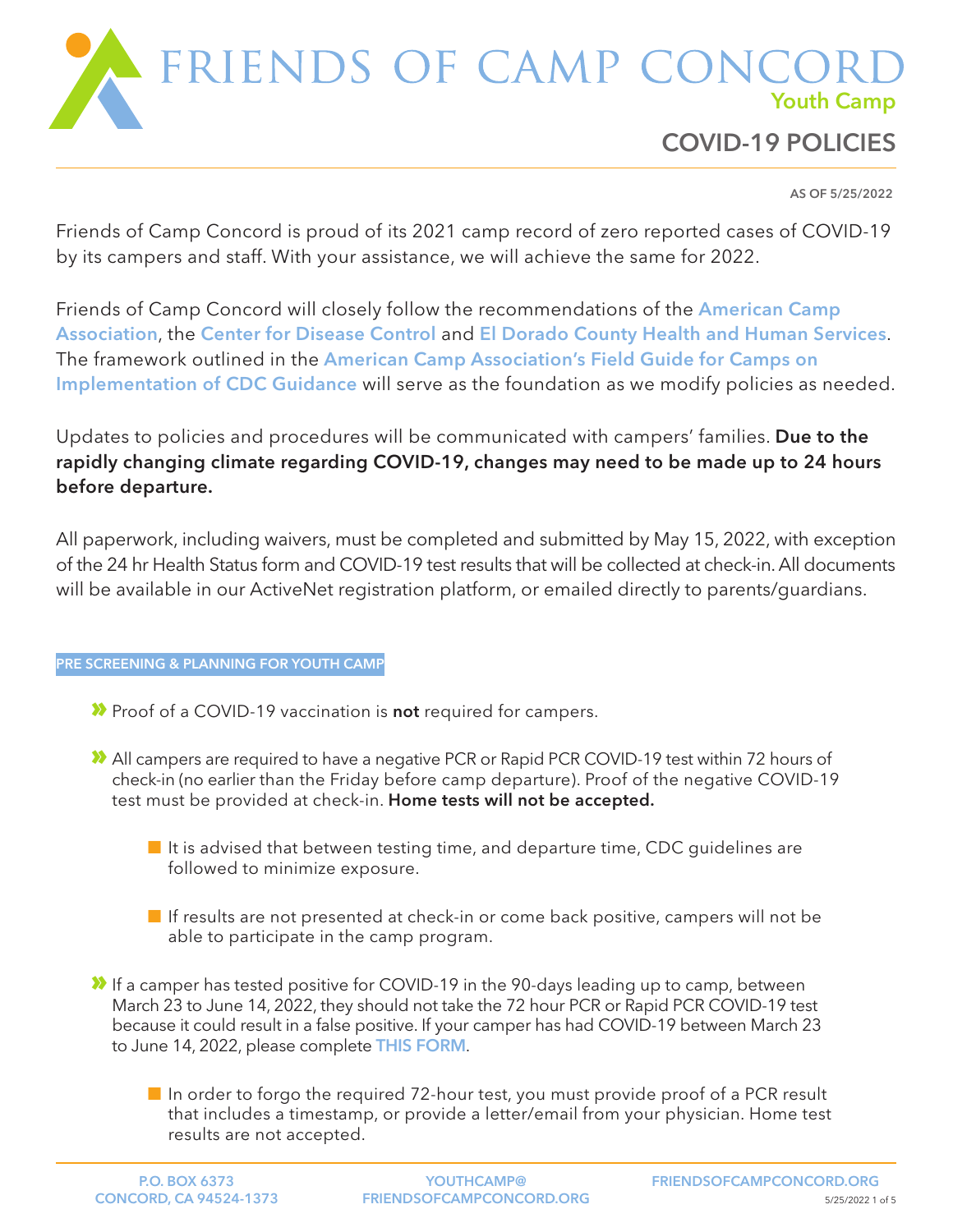

AS OF 5/25/2022

Friends of Camp Concord is proud of its 2021 camp record of zero reported cases of COVID-19 by its campers and staff. With your assistance, we will achieve the same for 2022.

Friends of Camp Concord will closely follow the recommendations of the [American Camp](https://www.acacamps.org)  [Association](https://www.acacamps.org), the [Center for Disease Control](https://www.cdc.gov) and [El Dorado County Health and Human Services](https://www.edcgov.us/Government/hhsa/edccovid-19). The framework outlined in the [American Camp Association's Field Guide for Camps](https://www.acacamps.org/resource-library/coronavirus/camp-business/field-guide-camps) on [Implementation of CDC Guidance](https://www.acacamps.org/resource-library/coronavirus/camp-business/field-guide-camps) will serve as the foundation as we modify policies as needed.

Updates to policies and procedures will be communicated with campers' families. Due to the rapidly changing climate regarding COVID-19, changes may need to be made up to 24 hours before departure.

All paperwork, including waivers, must be completed and submitted by May 15, 2022, with exception of the 24 hr Health Status form and COVID-19 test results that will be collected at check-in. All documents will be available in our ActiveNet registration platform, or emailed directly to parents/guardians.

## PRE SCREENING & PLANNING FOR YOUTH CAMP

- **X** Proof of a COVID-19 vaccination is **not** required for campers.
- » All campers are required to have a negative PCR or Rapid PCR COVID-19 test within 72 hours of check-in (no earlier than the Friday before camp departure). Proof of the negative COVID-19 test must be provided at check-in. Home tests will not be accepted.
	- It is advised that between testing time, and departure time, CDC quidelines are followed to minimize exposure.
	- $\blacksquare$  If results are not presented at check-in or come back positive, campers will not be able to participate in the camp program.
- » If a camper has tested positive for COVID-19 in the 90-days leading up to camp, between March 23 to June 14, 2022, they should not take the 72 hour PCR or Rapid PCR COVID-19 test because it could result in a false positive. If your camper has had COVID-19 between March 23 to June 14, 2022, please complete [THIS FORM](https://forms.gle/KHoD9v9kyDV69y9b8).
	- In order to forgo the required 72-hour test, you must provide proof of a PCR result that includes a timestamp, or provide a letter/email from your physician. Home test results are not accepted.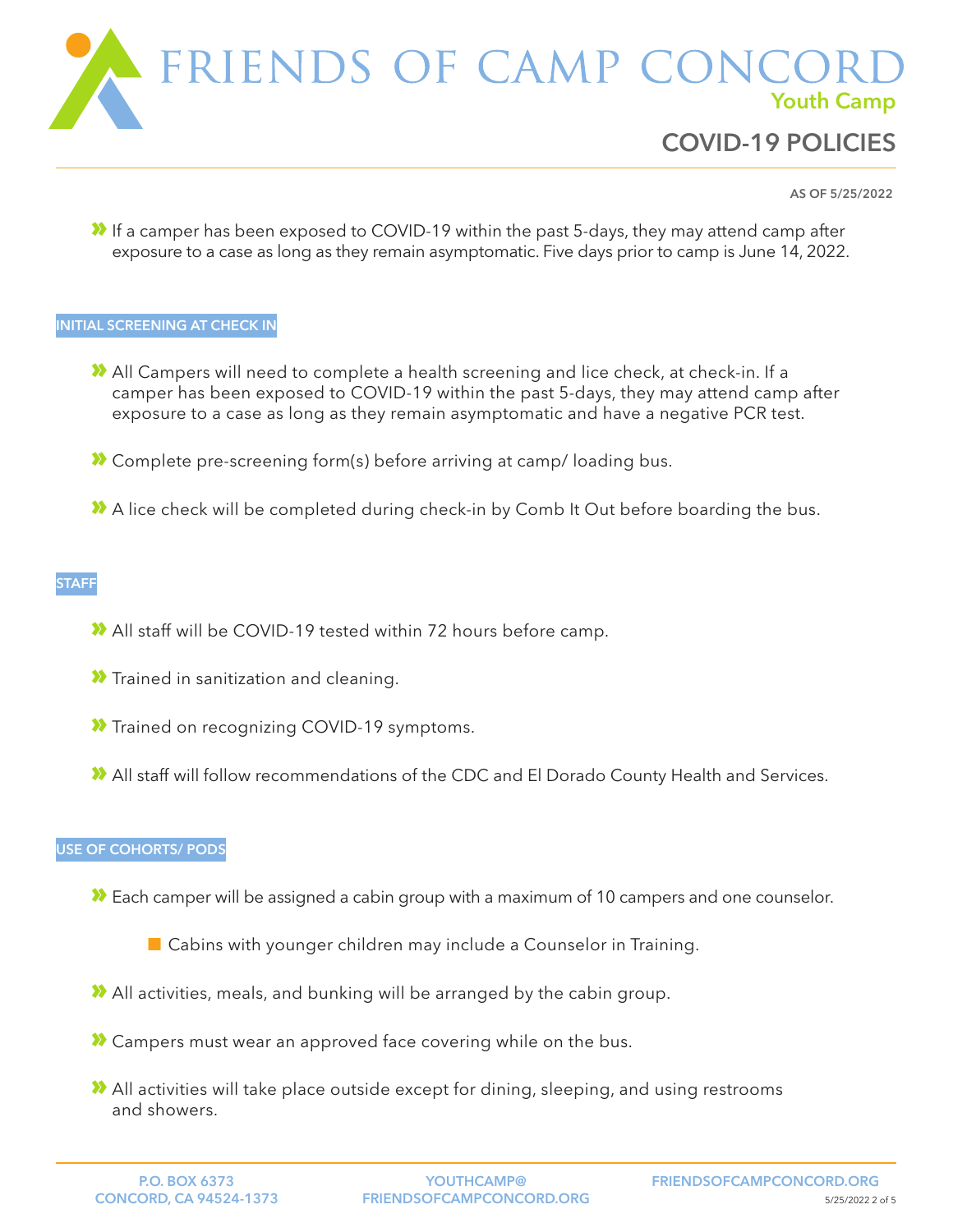

COVID-19 POLICIES

AS OF 5/25/2022

» If a camper has been exposed to COVID-19 within the past 5-days, they may attend camp after exposure to a case as long as they remain asymptomatic. Five days prior to camp is June 14, 2022.

### INITIAL SCREENING AT CHECK IN

- » All Campers will need to complete a health screening and lice check, at check-in. If a camper has been exposed to COVID-19 within the past 5-days, they may attend camp after exposure to a case as long as they remain asymptomatic and have a negative PCR test.
- » Complete pre-screening form(s) before arriving at camp/ loading bus.
- » A lice check will be completed during check-in by Comb It Out before boarding the bus.

## **STAFF**

- » All staff will be COVID-19 tested within 72 hours before camp.
- **X** Trained in sanitization and cleaning.
- **X** Trained on recognizing COVID-19 symptoms.
- » All staff will follow recommendations of the CDC and El Dorado County Health and Services.

## USE OF COHORTS/ PODS

- » Each camper will be assigned a cabin group with a maximum of 10 campers and one counselor.
	- **Cabins with younger children may include a Counselor in Training.**
- » All activities, meals, and bunking will be arranged by the cabin group.
- » Campers must wear an approved face covering while on the bus.
- » All activities will take place outside except for dining, sleeping, and using restrooms and showers.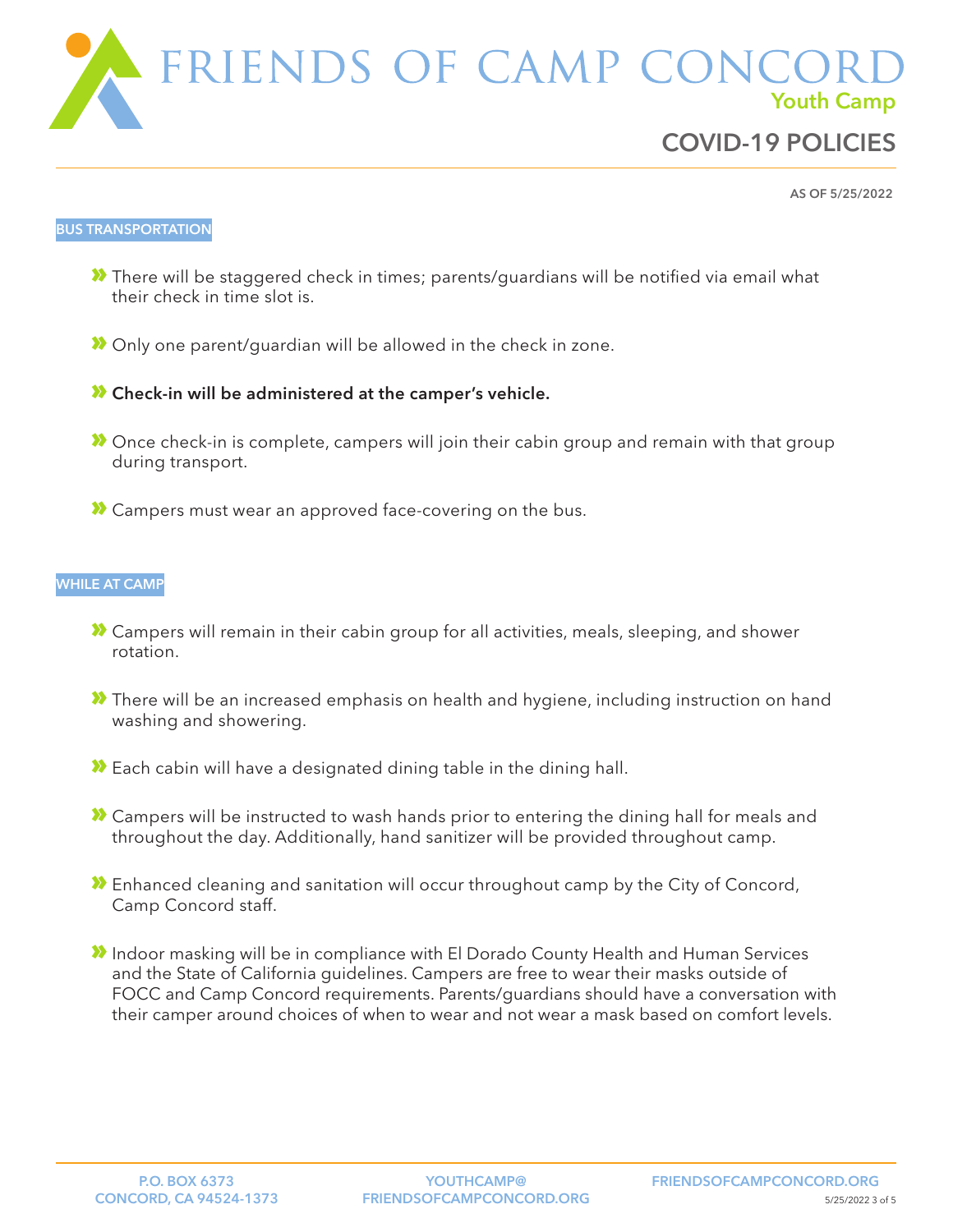

AS OF 5/25/2022

#### BUS TRANSPORTATION

- » There will be staggered check in times; parents/guardians will be notified via email what their check in time slot is.
- » Only one parent/guardian will be allowed in the check in zone.
- » Check-in will be administered at the camper's vehicle.
- » Once check-in is complete, campers will join their cabin group and remain with that group during transport.
- » Campers must wear an approved face-covering on the bus.

### WHILE AT CAMP

- » Campers will remain in their cabin group for all activities, meals, sleeping, and shower rotation.
- » There will be an increased emphasis on health and hygiene, including instruction on hand washing and showering.
- » Each cabin will have a designated dining table in the dining hall.
- » Campers will be instructed to wash hands prior to entering the dining hall for meals and throughout the day. Additionally, hand sanitizer will be provided throughout camp.
- » Enhanced cleaning and sanitation will occur throughout camp by the City of Concord, Camp Concord staff.
- » Indoor masking will be in compliance with El Dorado County Health and Human Services and the State of California guidelines. Campers are free to wear their masks outside of FOCC and Camp Concord requirements. Parents/guardians should have a conversation with their camper around choices of when to wear and not wear a mask based on comfort levels.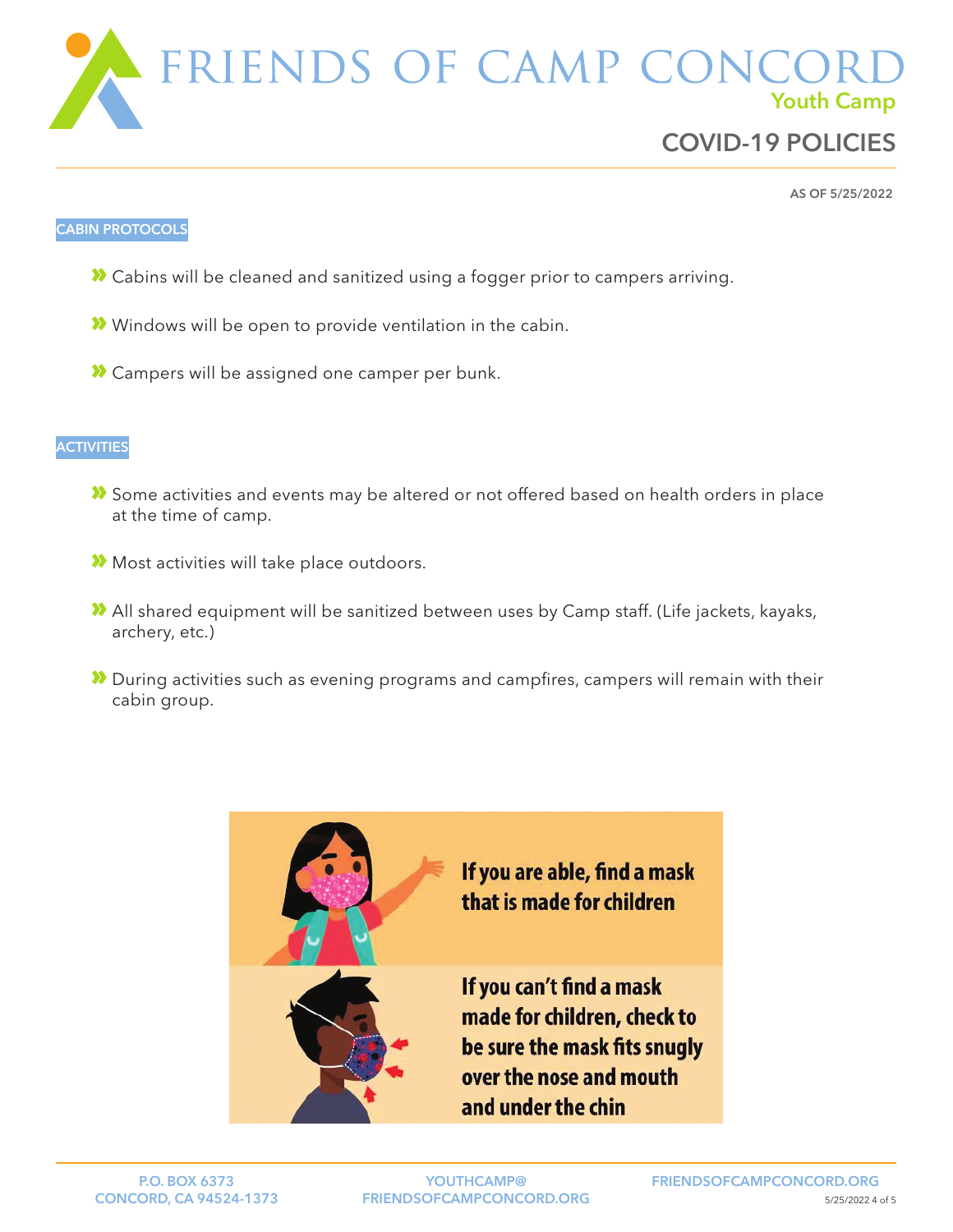FRIENDS OF CAMP CON Youth Camp

# COVID-19 POLICIES

AS OF 5/25/2022

### CABIN PROTOCOLS

- » Cabins will be cleaned and sanitized using a fogger prior to campers arriving.
- » Windows will be open to provide ventilation in the cabin.
- » Campers will be assigned one camper per bunk.

### **ACTIVITIES**

- » Some activities and events may be altered or not offered based on health orders in place at the time of camp.
- » Most activities will take place outdoors.
- » All shared equipment will be sanitized between uses by Camp staff. (Life jackets, kayaks, archery, etc.)
- » During activities such as evening programs and campfires, campers will remain with their cabin group.